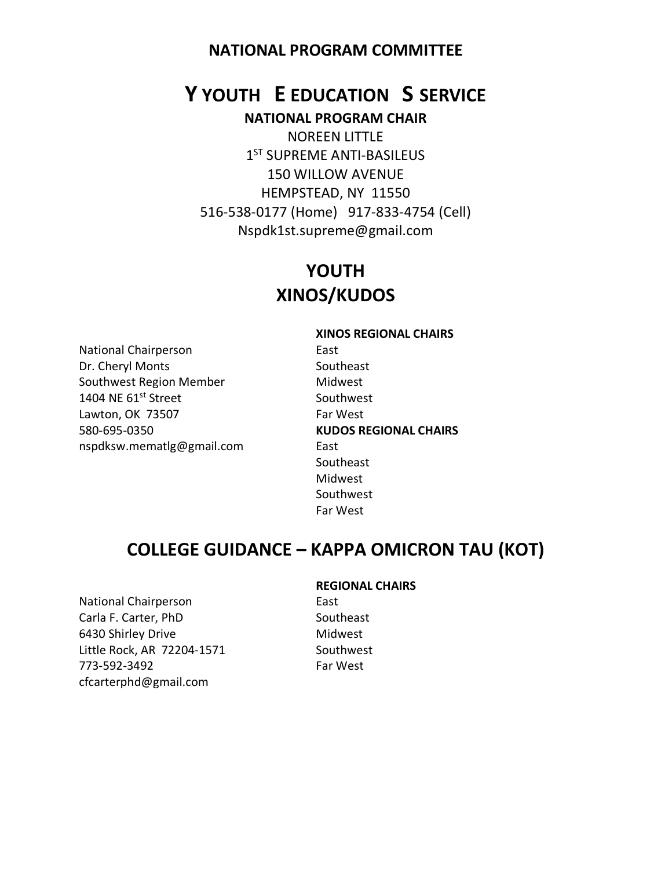# **Y YOUTH E EDUCATION S SERVICE NATIONAL PROGRAM CHAIR**

NOREEN LITTLE 1<sup>ST</sup> SUPREME ANTI-BASILEUS 150 WILLOW AVENUE HEMPSTEAD, NY 11550 516-538-0177 (Home) 917-833-4754 (Cell) Nspdk1st.supreme@gmail.com

# **YOUTH XINOS/KUDOS**

National Chairperson **East** Dr. Cheryl Monts Southeast Southwest Region Member Midwest 1404 NE 61<sup>st</sup> Street Southwest Lawton, OK 73507 Far West 580-695-0350 **KUDOS REGIONAL CHAIRS** nspdksw.mematlg@gmail.com East

**XINOS REGIONAL CHAIRS** Southeast Midwest Southwest Far West

# **COLLEGE GUIDANCE – KAPPA OMICRON TAU (KOT)**

National Chairperson **East** Carla F. Carter, PhD Southeast 6430 Shirley Drive Midwest Little Rock, AR 72204-1571 Southwest 773-592-3492 Far West cfcarterphd@gmail.com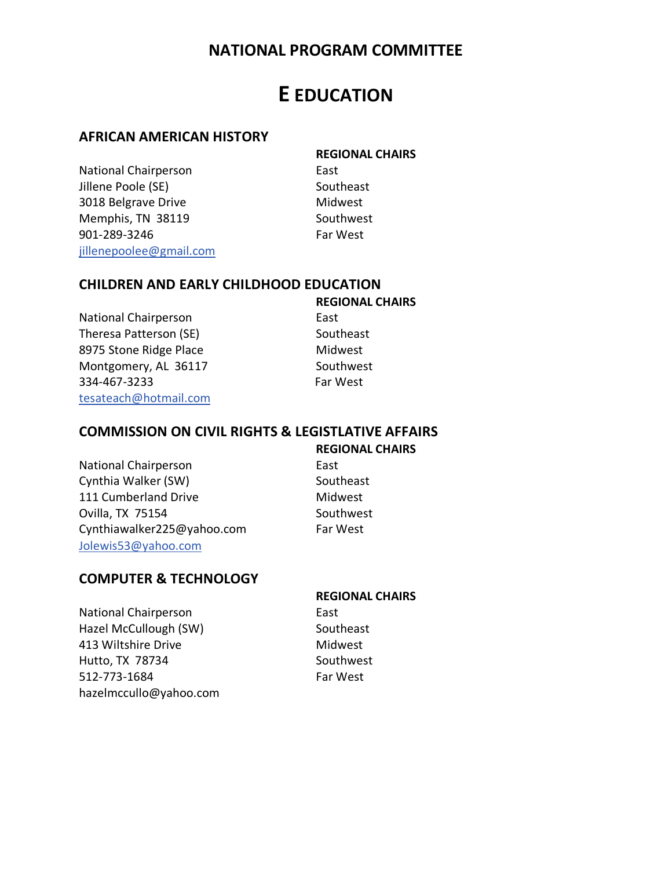# **E EDUCATION**

#### **AFRICAN AMERICAN HISTORY**

National Chairperson **East** Jillene Poole (SE) Southeast 3018 Belgrave Drive Midwest Memphis, TN 38119 Southwest 901-289-3246 Far West [jillenepoolee@gmail.com](mailto:jillenepoolee@gmail.com)

**REGIONAL CHAIRS**

#### **CHILDREN AND EARLY CHILDHOOD EDUCATION**

National Chairperson **East** Theresa Patterson (SE) Southeast 8975 Stone Ridge Place Midwest Montgomery, AL 36117 Southwest 334-467-3233 Far West [tesateach@hotmail.com](mailto:tesateach@hotmail.com)

**REGIONAL CHAIRS**

#### **COMMISSION ON CIVIL RIGHTS & LEGISTLATIVE AFFAIRS**

#### **REGIONAL CHAIRS**

National Chairperson **East** Cynthia Walker (SW) Southeast 111 Cumberland Drive Midwest Ovilla, TX 75154 Southwest Cynthiawalker225@yahoo.com Far West [Jolewis53@yahoo.com](mailto:Jolewis53@yahoo.com)

#### **COMPUTER & TECHNOLOGY**

National Chairperson **East** Hazel McCullough (SW) Southeast 413 Wiltshire Drive **Midwest** Hutto, TX 78734 Southwest 512-773-1684 Far West hazelmccullo@yahoo.com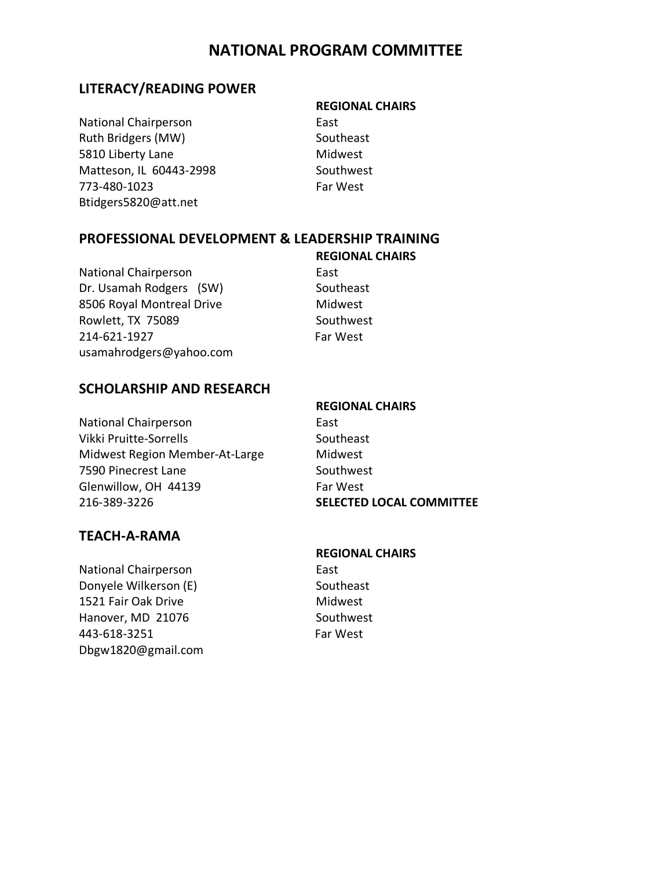#### **LITERACY/READING POWER**

**REGIONAL CHAIRS**

National Chairperson **East** Ruth Bridgers (MW) Southeast 5810 Liberty Lane Midwest Matteson, IL 60443-2998 Southwest 773-480-1023 Far West Btidgers5820@att.net

#### **PROFESSIONAL DEVELOPMENT & LEADERSHIP TRAINING**

National Chairperson **East** Dr. Usamah Rodgers (SW) Southeast 8506 Royal Montreal Drive Midwest Rowlett, TX 75089 Southwest 214-621-1927 Far West usamahrodgers@yahoo.com

**REGIONAL CHAIRS**

#### **SCHOLARSHIP AND RESEARCH**

National Chairperson **East** Vikki Pruitte-Sorrells Southeast Midwest Region Member-At-Large Midwest 7590 Pinecrest Lane Southwest Glenwillow, OH 44139 Far West 216-389-3226 **SELECTED LOCAL COMMITTEE**

**REGIONAL CHAIRS**

#### **TEACH-A-RAMA**

National Chairperson **East** Donyele Wilkerson (E) Southeast 1521 Fair Oak Drive Midwest Hanover, MD 21076 Southwest 443-618-3251 Far West Dbgw1820@gmail.com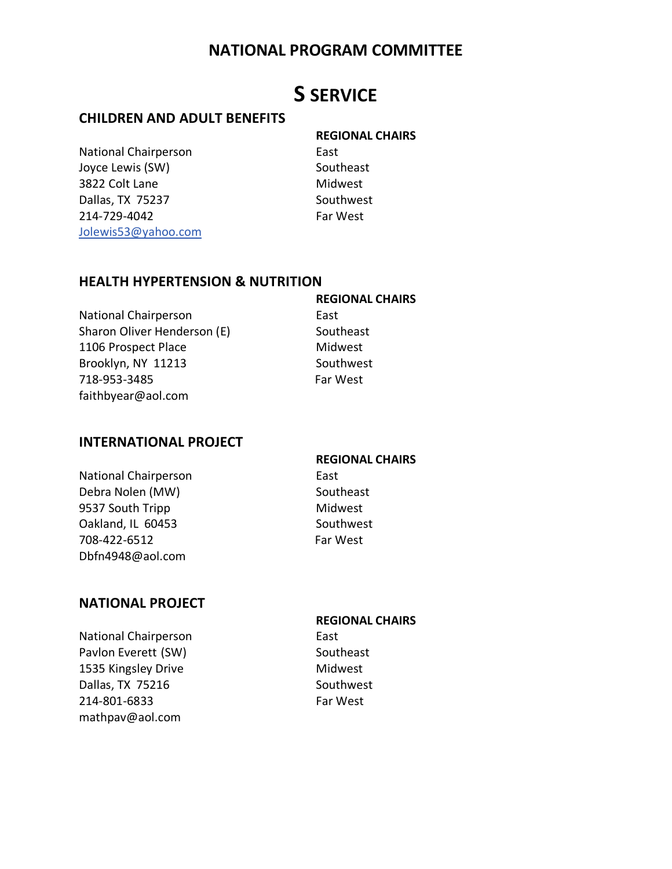# **S SERVICE**

#### **CHILDREN AND ADULT BENEFITS**

National Chairperson **East** Joyce Lewis (SW) Southeast 3822 Colt Lane Midwest Dallas, TX 75237 Southwest 214-729-4042 Far West [Jolewis53@yahoo.com](mailto:Jolewis53@yahoo.com)

**REGIONAL CHAIRS**

#### **HEALTH HYPERTENSION & NUTRITION**

National Chairperson **East** Sharon Oliver Henderson (E) Southeast 1106 Prospect Place Midwest Brooklyn, NY 11213 Southwest 718-953-3485 Far West faithbyear@aol.com

**REGIONAL CHAIRS**

#### **INTERNATIONAL PROJECT**

National Chairperson **East** Debra Nolen (MW) Southeast 9537 South Tripp Midwest Oakland, IL 60453 Southwest 708-422-6512 Far West Dbfn4948@aol.com

# **REGIONAL CHAIRS**

#### **NATIONAL PROJECT**

National Chairperson **East** Pavlon Everett (SW) Southeast 1535 Kingsley Drive Midwest Dallas, TX 75216 Southwest 214-801-6833 Far West mathpav@aol.com